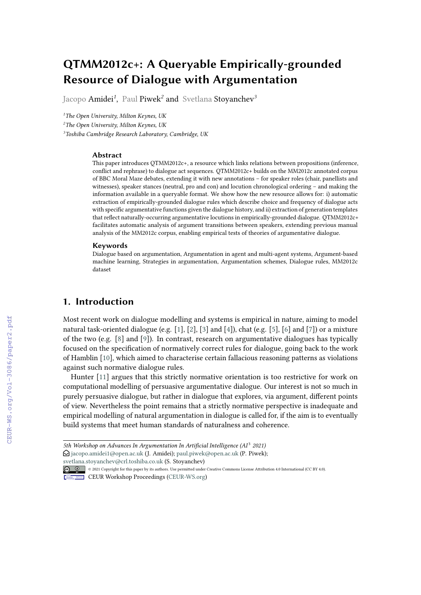# **QTMM2012c+: A Queryable Empirically-grounded Resource of Dialogue with Argumentation**

Jacopo Amidei*<sup>1</sup>* , Paul Piwek*<sup>2</sup>* and Svetlana Stoyanchev*<sup>3</sup>*

*<sup>1</sup>The Open University, Milton Keynes, UK*

*<sup>2</sup>The Open University, Milton Keynes, UK*

*<sup>3</sup>Toshiba Cambridge Research Laboratory, Cambridge, UK*

#### **Abstract**

This paper introduces QTMM2012c+, a resource which links relations between propositions (inference, conflict and rephrase) to dialogue act sequences. QTMM2012c+ builds on the MM2012c annotated corpus of BBC Moral Maze debates, extending it with new annotations – for speaker roles (chair, panellists and witnesses), speaker stances (neutral, pro and con) and locution chronological ordering – and making the information available in a queryable format. We show how the new resource allows for: i) automatic extraction of empirically-grounded dialogue rules which describe choice and frequency of dialogue acts with specific argumentative functions given the dialogue history, and ii) extraction of generation templates that reflect naturally-occurring argumentative locutions in empirically-grounded dialogue. QTMM2012c+ facilitates automatic analysis of argument transitions between speakers, extending previous manual analysis of the MM2012c corpus, enabling empirical tests of theories of argumentative dialogue.

#### **Keywords**

Dialogue based on argumentation, Argumentation in agent and multi-agent systems, Argument-based machine learning, Strategies in argumentation, Argumentation schemes, Dialogue rules, MM2012c dataset

## **1. Introduction**

Most recent work on dialogue modelling and systems is empirical in nature, aiming to model natural task-oriented dialogue (e.g. [\[1\]](#page--1-0), [\[2\]](#page--1-1), [\[3\]](#page--1-2) and [\[4\]](#page--1-3)), chat (e.g. [\[5\]](#page--1-4), [\[6\]](#page--1-5) and [\[7\]](#page--1-6)) or a mixture of the two (e.g. [\[8\]](#page--1-7) and [\[9\]](#page--1-8)). In contrast, research on argumentative dialogues has typically focused on the specification of normatively correct rules for dialogue, going back to the work of Hamblin [\[10\]](#page--1-9), which aimed to characterise certain fallacious reasoning patterns as violations against such normative dialogue rules.

Hunter [\[11\]](#page--1-10) argues that this strictly normative orientation is too restrictive for work on computational modelling of persuasive argumentative dialogue. Our interest is not so much in purely persuasive dialogue, but rather in dialogue that explores, via argument, different points of view. Nevertheless the point remains that a strictly normative perspective is inadequate and empirical modelling of natural argumentation in dialogue is called for, if the aim is to eventually build systems that meet human standards of naturalness and coherence.

 $\bigcirc$  [jacopo.amidei1@open.ac.uk](mailto:jacopo.amidei1@open.ac.uk) (J. Amidei); [paul.piwek@open.ac.uk](mailto:paul.piwek@open.ac.uk) (P. Piwek);

[svetlana.stoyanchev@crl.toshiba.co.uk](mailto:svetlana.stoyanchev@crl.toshiba.co.uk) (S. Stoyanchev)

<sup>5</sup>th Workshop on Advances In Argumentation In Artificial Intelligence (AI<sup>3</sup> 2021)

<sup>© 2021</sup> Copyright for this paper by its authors. Use permitted under Creative Commons License Attribution 4.0 International (CC BY 4.0).

CEUR Workshop [Proceedings](http://ceur-ws.org) [\(CEUR-WS.org\)](http://ceur-ws.org)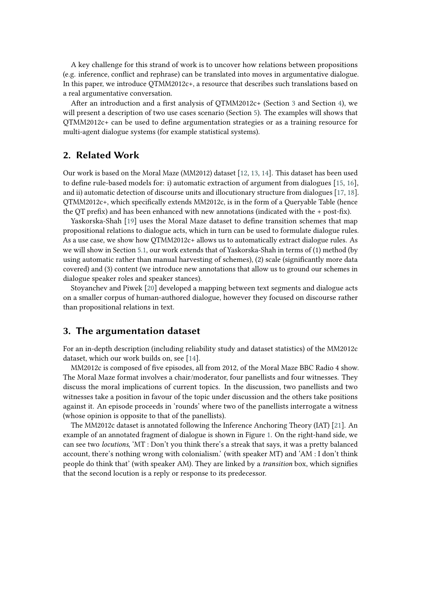A key challenge for this strand of work is to uncover how relations between propositions (e.g. inference, conflict and rephrase) can be translated into moves in argumentative dialogue. In this paper, we introduce QTMM2012c+, a resource that describes such translations based on a real argumentative conversation.

After an introduction and a first analysis of QTMM2012c+ (Section [3](#page-1-0) and Section [4\)](#page-4-0), we will present a description of two use cases scenario (Section [5\)](#page-6-0). The examples will shows that QTMM2012c+ can be used to define argumentation strategies or as a training resource for multi-agent dialogue systems (for example statistical systems).

## **2. Related Work**

Our work is based on the Moral Maze (MM2012) dataset [\[12,](#page-11-0) [13,](#page-11-1) [14\]](#page-11-2). This dataset has been used to define rule-based models for: i) automatic extraction of argument from dialogues [\[15,](#page-11-3) [16\]](#page-11-4), and ii) automatic detection of discourse units and illocutionary structure from dialogues [\[17,](#page-11-5) [18\]](#page-11-6). QTMM2012c+, which specifically extends MM2012c, is in the form of a Queryable Table (hence the QT prefix) and has been enhanced with new annotations (indicated with the + post-fix).

Yaskorska-Shah [\[19\]](#page-11-7) uses the Moral Maze dataset to define transition schemes that map propositional relations to dialogue acts, which in turn can be used to formulate dialogue rules. As a use case, we show how QTMM2012c+ allows us to automatically extract dialogue rules. As we will show in Section [5.1,](#page-6-1) our work extends that of Yaskorska-Shah in terms of (1) method (by using automatic rather than manual harvesting of schemes), (2) scale (significantly more data covered) and (3) content (we introduce new annotations that allow us to ground our schemes in dialogue speaker roles and speaker stances).

Stoyanchev and Piwek [\[20\]](#page-11-8) developed a mapping between text segments and dialogue acts on a smaller corpus of human-authored dialogue, however they focused on discourse rather than propositional relations in text.

### <span id="page-1-0"></span>**3. The argumentation dataset**

For an in-depth description (including reliability study and dataset statistics) of the MM2012c dataset, which our work builds on, see [\[14\]](#page-11-2).

MM2012c is composed of five episodes, all from 2012, of the Moral Maze BBC Radio 4 show. The Moral Maze format involves a chair/moderator, four panellists and four witnesses. They discuss the moral implications of current topics. In the discussion, two panellists and two witnesses take a position in favour of the topic under discussion and the others take positions against it. An episode proceeds in 'rounds' where two of the panellists interrogate a witness (whose opinion is opposite to that of the panellists).

The MM2012c dataset is annotated following the Inference Anchoring Theory (IAT) [\[21\]](#page-11-9). An example of an annotated fragment of dialogue is shown in Figure [1.](#page-2-0) On the right-hand side, we can see two *locutions*, 'MT : Don't you think there's a streak that says, it was a pretty balanced account, there's nothing wrong with colonialism.' (with speaker MT) and 'AM : I don't think people do think that' (with speaker AM). They are linked by a *transition* box, which signifies that the second locution is a reply or response to its predecessor.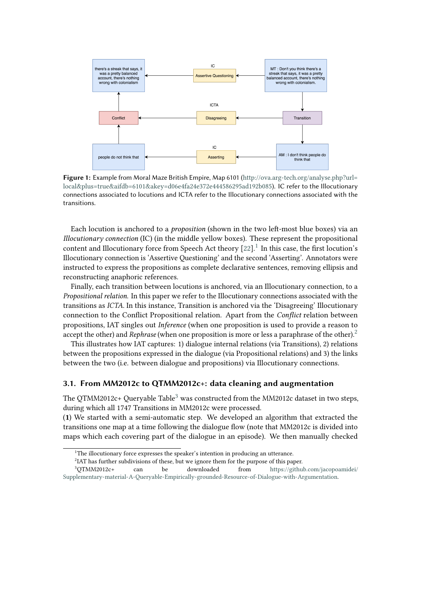<span id="page-2-0"></span>

Figure 1: Example from Moral Maze British Empire, Map 6101 ([http://ova.arg-tech.org/analyse.php?url=](http://ova.arg-tech.org/analyse.php?url=local&plus=true&aifdb=6101&akey=d06e4fa24e372e444586295ad192b085) [local&plus=true&aifdb=6101&akey=d06e4fa24e372e444586295ad192b085](http://ova.arg-tech.org/analyse.php?url=local&plus=true&aifdb=6101&akey=d06e4fa24e372e444586295ad192b085)). IC refer to the Illocutionary connections associated to locutions and ICTA refer to the Illocutionary connections associated with the transitions.

Each locution is anchored to a *proposition* (shown in the two left-most blue boxes) via an *Illocutionary connection* (IC) (in the middle yellow boxes). These represent the propositional content and Illocutionary force from Speech Act theory  $[22]$ .<sup>[1](#page-2-1)</sup> In this case, the first locution's Illocutionary connection is 'Assertive Questioning' and the second 'Asserting'. Annotators were instructed to express the propositions as complete declarative sentences, removing ellipsis and reconstructing anaphoric references.

Finally, each transition between locutions is anchored, via an Illocutionary connection, to a *Propositional relation*. In this paper we refer to the Illocutionary connections associated with the transitions as *ICTA*. In this instance, Transition is anchored via the 'Disagreeing' Illocutionary connection to the Conflict Propositional relation. Apart from the *Conflict* relation between propositions, IAT singles out *Inference* (when one proposition is used to provide a reason to accept the other) and *Rephrase* (when one proposition is more or less a paraphrase of the other).<sup>[2](#page-2-2)</sup>

This illustrates how IAT captures: 1) dialogue internal relations (via Transitions), 2) relations between the propositions expressed in the dialogue (via Propositional relations) and 3) the links between the two (i.e. between dialogue and propositions) via Illocutionary connections.

#### **3.1. From MM2012c to QTMM2012c+: data cleaning and augmentation**

The QTMM2012c+ Queryable Table<sup>[3](#page-2-3)</sup> was constructed from the MM2012c dataset in two steps, during which all 1747 Transitions in MM2012c were processed.

(**1**) We started with a semi-automatic step. We developed an algorithm that extracted the transitions one map at a time following the dialogue flow (note that MM2012c is divided into maps which each covering part of the dialogue in an episode). We then manually checked

<span id="page-2-1"></span> $1$ <sup>1</sup>The illocutionary force expresses the speaker's intention in producing an utterance.

<span id="page-2-3"></span><span id="page-2-2"></span> ${}^{2}$ IAT has further subdivisions of these, but we ignore them for the purpose of this paper.

<sup>3</sup>QTMM2012c+ can be downloaded from [https://github.com/jacopoamidei/](https://github.com/jacopoamidei/Supplementary-material-A-Queryable-Empirically-grounded-Resource-of-Dialogue-with-Argumentation) [Supplementary-material-A-Queryable-Empirically-grounded-Resource-of-Dialogue-with-Argumentation.](https://github.com/jacopoamidei/Supplementary-material-A-Queryable-Empirically-grounded-Resource-of-Dialogue-with-Argumentation)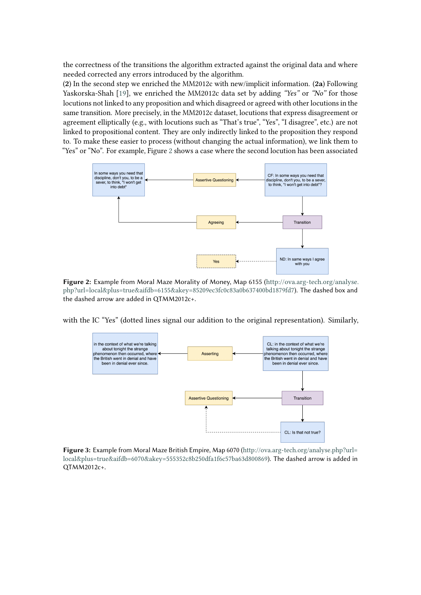the correctness of the transitions the algorithm extracted against the original data and where needed corrected any errors introduced by the algorithm.

(**2**) In the second step we enriched the MM2012c with new/implicit information. (**2a**) Following Yaskorska-Shah [\[19\]](#page-11-7), we enriched the MM2012c data set by adding *"Yes"* or *"No"* for those locutions not linked to any proposition and which disagreed or agreed with other locutions in the same transition. More precisely, in the MM2012c dataset, locutions that express disagreement or agreement elliptically (e.g., with locutions such as "That's true", "Yes", "I disagree", etc.) are not linked to propositional content. They are only indirectly linked to the proposition they respond to. To make these easier to process (without changing the actual information), we link them to "Yes" or "No". For example, Figure [2](#page-3-0) shows a case where the second locution has been associated

<span id="page-3-0"></span>

**Figure 2:** Example from Moral Maze Morality of Money, Map 6155 ([http://ova.arg-tech.org/analyse.](http://ova.arg-tech.org/analyse.php?url=local&plus=true&aifdb=6155&akey=85209ec3fc0c83a0b637400bd1879fd7) [php?url=local&plus=true&aifdb=6155&akey=85209ec3fc0c83a0b637400bd1879fd7](http://ova.arg-tech.org/analyse.php?url=local&plus=true&aifdb=6155&akey=85209ec3fc0c83a0b637400bd1879fd7)). The dashed box and the dashed arrow are added in QTMM2012c+.

<span id="page-3-1"></span>with the IC "Yes" (dotted lines signal our addition to the original representation). Similarly,



**Figure 3:** Example from Moral Maze British Empire, Map 6070 ([http://ova.arg-tech.org/analyse.php?url=](http://ova.arg-tech.org/analyse.php?url=local&plus=true&aifdb=6070&akey=555352c8b250dfa1f6c57ba63d800869) [local&plus=true&aifdb=6070&akey=555352c8b250dfa1f6c57ba63d800869](http://ova.arg-tech.org/analyse.php?url=local&plus=true&aifdb=6070&akey=555352c8b250dfa1f6c57ba63d800869)). The dashed arrow is added in QTMM2012c+.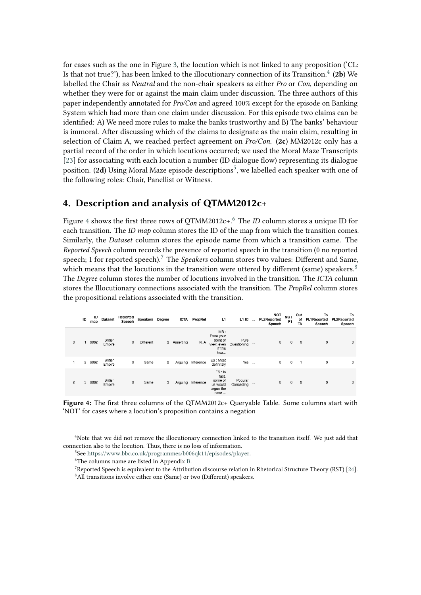for cases such as the one in Figure [3,](#page-3-1) the locution which is not linked to any proposition ('CL: Is that not true?'), has been linked to the illocutionary connection of its Transition. $^4$  $^4$  (**2b**) We labelled the Chair as *Neutral* and the non-chair speakers as either *Pro* or *Con*, depending on whether they were for or against the main claim under discussion. The three authors of this paper independently annotated for *Pro/Con* and agreed 100% except for the episode on Banking System which had more than one claim under discussion. For this episode two claims can be identified: A) We need more rules to make the banks trustworthy and B) The banks' behaviour is immoral. After discussing which of the claims to designate as the main claim, resulting in selection of Claim A, we reached perfect agreement on *Pro/Con*. (**2c**) MM2012c only has a partial record of the order in which locutions occurred; we used the Moral Maze Transcripts [\[23\]](#page-11-11) for associating with each locution a number (ID dialogue flow) representing its dialogue position. (2**d**) Using Moral Maze episode descriptions<sup>[5](#page-4-2)</sup>, we labelled each speaker with one of the following roles: Chair, Panellist or Witness.

## <span id="page-4-0"></span>**4. Description and analysis of QTMM2012c+**

Figure [4](#page-4-3) shows the first three rows of OTMM2012c+.<sup>[6](#page-4-4)</sup> The *ID* column stores a unique ID for each transition. The *ID map* column stores the ID of the map from which the transition comes. Similarly, the *Dataset* column stores the episode name from which a transition came. The *Reported Speech* column records the presence of reported speech in the transition (0 no reported speech; 1 for reported speech).<sup>[7](#page-4-5)</sup> The *Speakers* column stores two values: Different and Same, which means that the locutions in the transition were uttered by different (same) speakers.<sup>[8](#page-4-6)</sup> The *Degree* column stores the number of locutions involved in the transition. The *ICTA* column stores the Illocutionary connections associated with the transition. The *PropRel* column stores the propositional relations associated with the transition.

<span id="page-4-3"></span>

|   | ID | ID<br>map | <b>Dataset</b>           | Reported<br>Speech | Speakers Degree |   | <b>ICTA</b> | PropRel   | L1                                                           | $L1IC$               |          | NOT<br><b>PL2Reported</b><br>Speech | <b>NOT</b><br>P <sub>1</sub> | Out<br>of<br>TA | To<br><b>PL1Reported</b><br>Speech | To<br><b>PL2Reported</b><br>Speech |
|---|----|-----------|--------------------------|--------------------|-----------------|---|-------------|-----------|--------------------------------------------------------------|----------------------|----------|-------------------------------------|------------------------------|-----------------|------------------------------------|------------------------------------|
| 0 | 1  | 6062      | <b>British</b><br>Empire | 0                  | Different       |   | 2 Asserting | N_A       | MB:<br>From your<br>point of<br>view, even<br>if this<br>hea | Pure<br>Questioning  | 1.11     | $\circ$                             | 0                            | $\circ$         | $\circ$                            | $\circ$                            |
|   |    | 2 6062    | British<br>Empire        | 0                  | Same            | 2 | Arguing     | Inference | ES: Most<br>definitely                                       | Yes                  | $\cdots$ | 0                                   | 0                            |                 | $\circ$                            | $\circ$                            |
| 2 |    | 3 6062    | <b>British</b><br>Empire | 0                  | Same            | 3 | Arguing     | Inference | ES: In<br>fact.<br>some of<br>us would<br>argue the<br>case  | Popular<br>Conceding |          | 0                                   | 0                            | 0               | $\mathbf 0$                        | $\mathbf 0$                        |

**Figure 4:** The first three columns of the QTMM2012c+ Queryable Table. Some columns start with 'NOT' for cases where a locution's proposition contains a negation

<span id="page-4-6"></span><span id="page-4-5"></span><sup>7</sup>Reported Speech is equivalent to the Attribution discourse relation in Rhetorical Structure Theory (RST) [\[24\]](#page-11-12). <sup>8</sup>All transitions involve either one (Same) or two (Different) speakers.

<span id="page-4-1"></span><sup>4</sup>Note that we did not remove the illocutionary connection linked to the transition itself. We just add that connection also to the locution. Thus, there is no loss of information.

<span id="page-4-2"></span><sup>5</sup> See [https://www.bbc.co.uk/programmes/b006qk11/episodes/player.](https://www.bbc.co.uk/programmes/b006qk11/episodes/player)

<span id="page-4-4"></span><sup>6</sup>The columns name are listed in Appendix [B.](#page-13-0)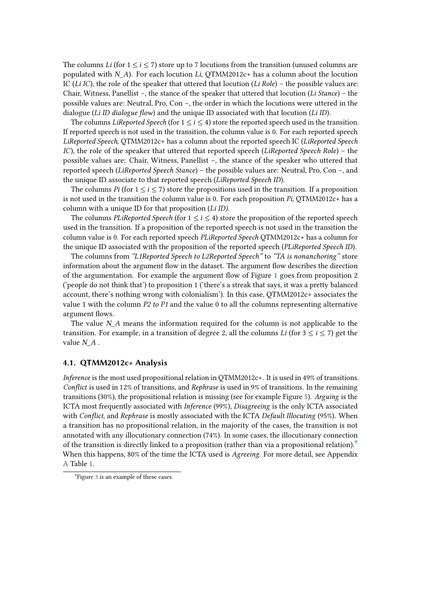The columns *Li* (for  $1 \le i \le 7$ ) store up to 7 locutions from the transition (unused columns are populated with *\_*). For each locution *Li*, QTMM2012c+ has a column about the locution IC (*Li IC*), the role of the speaker that uttered that locution (*Li Role*) – the possible values are: Chair, Witness, Panellist –, the stance of the speaker that uttered that locution (*Li Stance*) – the possible values are: Neutral, Pro, Con –, the order in which the locutions were uttered in the dialogue (*Li ID dialogue flow*) and the unique ID associated with that locution (*Li ID*).

The columns *LiReported Speech* (for  $1 \le i \le 4$ ) store the reported speech used in the transition. If reported speech is not used in the transition, the column value is 0. For each reported speech *LiReported Speech*, QTMM2012c+ has a column about the reported speech IC (*LiReported Speech IC*), the role of the speaker that uttered that reported speech (*LiReported Speech Role*) – the possible values are: Chair, Witness, Panellist –, the stance of the speaker who uttered that reported speech (*LiReported Speech Stance*) – the possible values are: Neutral, Pro, Con –, and the unique ID associate to that reported speech (*LiReported Speech ID*).

The columns *Pi* (for  $1 \le i \le 7$ ) store the propositions used in the transition. If a proposition is not used in the transition the column value is 0. For each proposition *Pi*, QTMM2012c+ has a column with a unique ID for that proposition (*Li ID)*.

The columns *PLiReported Speech* (for  $1 \le i \le 4$ ) store the proposition of the reported speech used in the transition. If a proposition of the reported speech is not used in the transition the column value is 0. For each reported speech *PLiReported Speech* QTMM2012c+ has a column for the unique ID associated with the proposition of the reported speech (*PLiReported Speech ID*).

The columns from *"L1Reported Speech to L2Reported Speech"* to *"TA is nonanchoring"* store information about the argument flow in the dataset. The argument flow describes the direction of the argumentation. For example the argument flow of Figure [1](#page-2-0) goes from proposition 2 ('people do not think that') to proposition 1 ('there's a streak that says, it was a pretty balanced account, there's nothing wrong with colonialism'). In this case, QTMM2012c+ associates the value 1 with the column *P2 to P1* and the value 0 to all the columns representing alternative argument flows.

The value *N* A means the information required for the column is not applicable to the transition. For example, in a transition of degree 2, all the columns *Li* (for  $3 \le i \le 7$ ) get the value  $N$   $A$ .

#### **4.1. QTMM2012c+ Analysis**

*Inference* is the most used propositional relation in QTMM2012c+. It is used in 49% of transitions. *Conflict* is used in 12% of transitions, and *Rephrase* is used in 9% of transitions. In the remaining transitions (30%), the propositional relation is missing (see for example Figure [5\)](#page-8-0). *Arguing* is the ICTA most frequently associated with *Inference* (99%), *Disagreeing* is the only ICTA associated with *Conflict*, and *Rephrase* is mostly associated with the ICTA *Default Illocuting* (95%). When a transition has no propositional relation, in the majority of the cases, the transition is not annotated with any illocutionary connection (74%). In some cases, the illocutionary connection of the transition is directly linked to a proposition (rather than via a propositional relation).<sup>[9](#page-5-0)</sup> When this happens, 80% of the time the ICTA used is *Agreeing*. For more detail, see Appendix [A](#page-12-0) Table [1.](#page-12-1)

<span id="page-5-0"></span><sup>&</sup>lt;sup>9</sup>Figure [3](#page-3-1) is an example of these cases.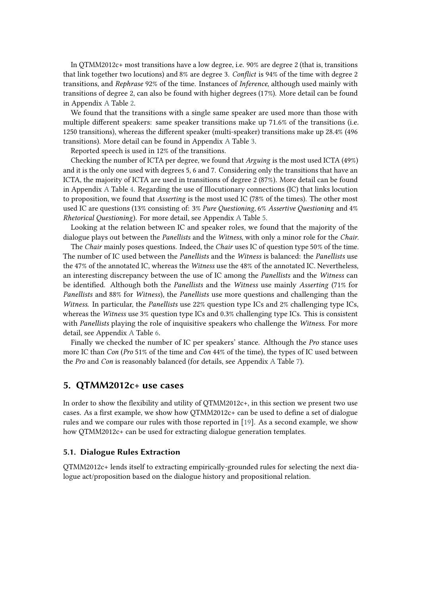In QTMM2012c+ most transitions have a low degree, i.e. 90% are degree 2 (that is, transitions that link together two locutions) and 8% are degree 3. *Conflict* is 94% of the time with degree 2 transitions, and *Rephrase* 92% of the time. Instances of *Inference*, although used mainly with transitions of degree 2, can also be found with higher degrees (17%). More detail can be found in Appendix [A](#page-12-0) Table [2.](#page-12-2)

We found that the transitions with a single same speaker are used more than those with multiple different speakers: same speaker transitions make up 71.6% of the transitions (i.e. 1250 transitions), whereas the different speaker (multi-speaker) transitions make up 28.4% (496 transitions). More detail can be found in Appendix [A](#page-12-0) Table [3.](#page-12-3)

Reported speech is used in 12% of the transitions.

Checking the number of ICTA per degree, we found that *Arguing* is the most used ICTA (49%) and it is the only one used with degrees 5, 6 and 7. Considering only the transitions that have an ICTA, the majority of ICTA are used in transitions of degree 2 (87%). More detail can be found in Appendix [A](#page-12-0) Table [4.](#page-13-1) Regarding the use of Illocutionary connections (IC) that links locution to proposition, we found that *Asserting* is the most used IC (78% of the times). The other most used IC are questions (13% consisting of: 3% *Pure Questioning*, 6% *Assertive Questioning* and 4% *Rhetorical Questioning*). For more detail, see Appendix [A](#page-12-0) Table [5.](#page-13-2)

Looking at the relation between IC and speaker roles, we found that the majority of the dialogue plays out between the *Panellists* and the *Witness*, with only a minor role for the *Chair*.

The *Chair* mainly poses questions. Indeed, the *Chair* uses IC of question type 50% of the time. The number of IC used between the *Panellists* and the *Witness* is balanced: the *Panellists* use the 47% of the annotated IC, whereas the *Witness* use the 48% of the annotated IC. Nevertheless, an interesting discrepancy between the use of IC among the *Panellists* and the *Witness* can be identified. Although both the *Panellists* and the *Witness* use mainly *Asserting* (71% for *Panellists* and 88% for *Witness*), the *Panellists* use more questions and challenging than the *Witness*. In particular, the *Panellists* use 22% question type ICs and 2% challenging type ICs, whereas the *Witness* use 3% question type ICs and 0.3% challenging type ICs. This is consistent with *Panellists* playing the role of inquisitive speakers who challenge the *Witness*. For more detail, see Appendix [A](#page-12-0) Table [6.](#page-13-3)

Finally we checked the number of IC per speakers' stance. Although the *Pro* stance uses more IC than *Con* (*Pro* 51% of the time and *Con* 44% of the time), the types of IC used between the *Pro* and *Con* is reasonably balanced (for details, see Appendix [A](#page-12-0) Table [7\)](#page-14-0).

## <span id="page-6-0"></span>**5. QTMM2012c+ use cases**

In order to show the flexibility and utility of QTMM2012c+, in this section we present two use cases. As a first example, we show how QTMM2012c+ can be used to define a set of dialogue rules and we compare our rules with those reported in [\[19\]](#page-11-7). As a second example, we show how QTMM2012c+ can be used for extracting dialogue generation templates.

#### <span id="page-6-1"></span>**5.1. Dialogue Rules Extraction**

QTMM2012c+ lends itself to extracting empirically-grounded rules for selecting the next dialogue act/proposition based on the dialogue history and propositional relation.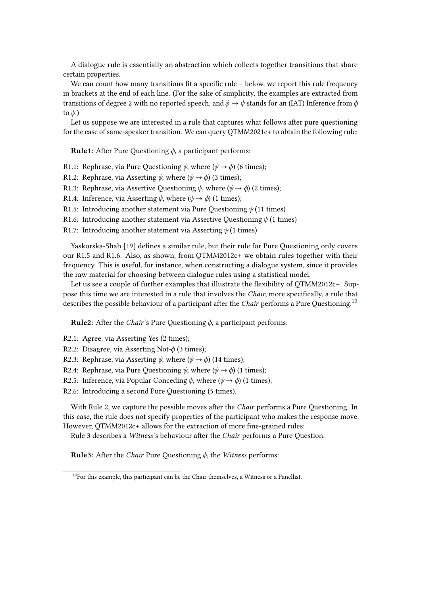A dialogue rule is essentially an abstraction which collects together transitions that share certain properties.

We can count how many transitions fit a specific rule – below, we report this rule frequency in brackets at the end of each line. (For the sake of simplicity, the examples are extracted from transitions of degree 2 with no reported speech, and  $\phi \rightarrow \psi$  stands for an (IAT) Inference from  $\phi$ to  $\psi$ .)

Let us suppose we are interested in a rule that captures what follows after pure questioning for the case of same-speaker transition. We can query QTMM2021c+ to obtain the following rule:

**Rule1:** After Pure Questioning  $\phi$ , a participant performs:

- R1.1: Rephrase, via Pure Questioning  $\psi$ , where  $(\psi \rightarrow \phi)$  (6 times);
- R1.2: Rephrase, via Asserting  $\psi$ , where  $(\psi \rightarrow \phi)$  (3 times);
- R1.3: Rephrase, via Assertive Questioning  $\psi$ , where  $(\psi \rightarrow \phi)$  (2 times);
- R1.4: Inference, via Asserting  $\psi$ , where  $(\psi \rightarrow \phi)$  (1 times);
- R1.5: Introducing another statement via Pure Questioning  $\psi$  (11 times)
- R1.6: Introducing another statement via Assertive Questioning  $\psi$  (1 times)
- R1.7: Introducing another statement via Asserting  $\psi$  (1 times)

Yaskorska-Shah [\[19\]](#page-11-7) defines a similar rule, but their rule for Pure Questioning only covers our R1.5 and R1.6. Also, as shown, from QTMM2012c+ we obtain rules together with their frequency. This is useful, for instance, when constructing a dialogue system, since it provides the raw material for choosing between dialogue rules using a statistical model.

Let us see a couple of further examples that illustrate the flexibility of QTMM2012c+. Suppose this time we are interested in a rule that involves the *Chair*, more specifically, a rule that describes the possible behaviour of a participant after the *Chair* performs a Pure Questioning.[10](#page-7-0)

**Rule2:** After the *Chair's* Pure Questioning  $\phi$ , a participant performs:

- R2.1: Agree, via Asserting Yes (2 times);
- R2.2: Disagree, via Asserting Not- $\phi$  (3 times);
- R2.3: Rephrase, via Asserting  $\psi$ , where  $(\psi \rightarrow \phi)$  (14 times);
- R2.4: Rephrase, via Pure Questioning  $\psi$ , where  $(\psi \rightarrow \phi)$  (1 times);
- R2.5: Inference, via Popular Conceding  $\psi$ , where  $(\psi \rightarrow \phi)$  (1 times);

R2.6: Introducing a second Pure Questioning (5 times).

With Rule 2, we capture the possible moves after the *Chair* performs a Pure Questioning. In this case, the rule does not specify properties of the participant who makes the response move. However, QTMM2012c+ allows for the extraction of more fine-grained rules:

Rule 3 describes a *Witness*'s behaviour after the *Chair* performs a Pure Question.

**Rule3:** After the *Chair* Pure Questioning  $\phi$ , the *Witness* performs:

<span id="page-7-0"></span><sup>&</sup>lt;sup>10</sup>For this example, this participant can be the Chair themselves, a Witness or a Panellist.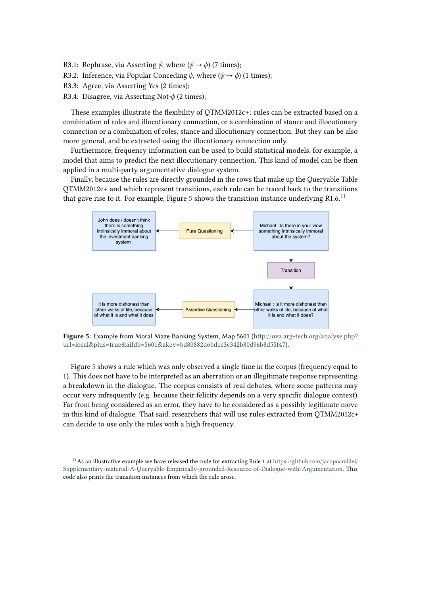- R3.1: Rephrase, via Asserting  $\psi$ , where  $(\psi \rightarrow \phi)$  (7 times);
- R3.2: Inference, via Popular Conceding  $\psi$ , where  $(\psi \rightarrow \phi)$  (1 times);
- R3.3: Agree, via Asserting Yes (2 times);
- R3.4: Disagree, via Asserting Not- $\phi$  (2 times);

These examples illustrate the flexibility of QTMM2012c+: rules can be extracted based on a combination of roles and illocutionary connection, or a combination of stance and illocutionary connection or a combination of roles, stance and illocutionary connection. But they can be also more general, and be extracted using the illocutionary connection only.

Furthermore, frequency information can be used to build statistical models, for example, a model that aims to predict the next illocutionary connection. This kind of model can be then applied in a multi-party argumentative dialogue system.

Finally, because the rules are directly grounded in the rows that make up the Queryable Table QTMM2012c+ and which represent transitions, each rule can be traced back to the transitions that gave rise to it. For example, Figure [5](#page-8-0) shows the transition instance underlying R1.6.<sup>[11](#page-8-1)</sup>

<span id="page-8-0"></span>

**Figure 5:** Example from Moral Maze Banking System, Map 5601 ([http://ova.arg-tech.org/analyse.php?](http://ova.arg-tech.org/analyse.php?url=local&plus=true&aifdb=5601&akey=bd80882d6bd1c3c342b80d96b8d55f47) [url=local&plus=true&aifdb=5601&akey=bd80882d6bd1c3c342b80d96b8d55f47](http://ova.arg-tech.org/analyse.php?url=local&plus=true&aifdb=5601&akey=bd80882d6bd1c3c342b80d96b8d55f47)).

Figure [5](#page-8-0) shows a rule which was only observed a single time in the corpus (frequency equal to 1). This does not have to be interpreted as an aberration or an illegitimate response representing a breakdown in the dialogue. The corpus consists of real debates, where some patterns may occur very infrequently (e.g. because their felicity depends on a very specific dialogue context). Far from being considered as an error, they have to be considered as a possibly legitimate move in this kind of dialogue. That said, researchers that will use rules extracted from QTMM2012c+ can decide to use only the rules with a high frequency.

<span id="page-8-1"></span><sup>11</sup>As an illustrative example we have released the code for extracting Rule 1 at [https://github.com/jacopoamidei/](https://github.com/jacopoamidei/Supplementary-material-A-Queryable-Empirically-grounded-Resource-of-Dialogue-with-Argumentation) [Supplementary-material-A-Queryable-Empirically-grounded-Resource-of-Dialogue-with-Argumentation.](https://github.com/jacopoamidei/Supplementary-material-A-Queryable-Empirically-grounded-Resource-of-Dialogue-with-Argumentation) This code also prints the transition instances from which the rule arose.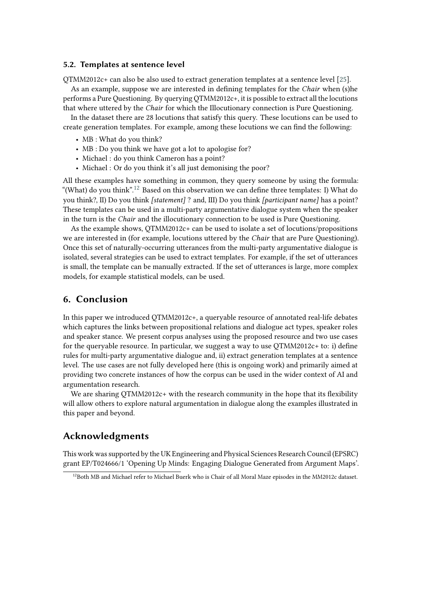#### **5.2. Templates at sentence level**

QTMM2012c+ can also be also used to extract generation templates at a sentence level [\[25\]](#page-11-13).

As an example, suppose we are interested in defining templates for the *Chair* when (s)he performs a Pure Questioning. By querying QTMM2012c+, it is possible to extract all the locutions that where uttered by the *Chair* for which the Illocutionary connection is Pure Questioning.

In the dataset there are 28 locutions that satisfy this query. These locutions can be used to create generation templates. For example, among these locutions we can find the following:

- MB : What do you think?
- MB : Do you think we have got a lot to apologise for?
- Michael : do you think Cameron has a point?
- Michael : Or do you think it's all just demonising the poor?

All these examples have something in common, they query someone by using the formula: "(What) do you think".<sup>[12](#page-9-0)</sup> Based on this observation we can define three templates: I) What do you think?, II) Do you think *[statement]* ? and, III) Do you think *[participant name]* has a point? These templates can be used in a multi-party argumentative dialogue system when the speaker in the turn is the *Chair* and the illocutionary connection to be used is Pure Questioning.

As the example shows, QTMM2012c+ can be used to isolate a set of locutions/propositions we are interested in (for example, locutions uttered by the *Chair* that are Pure Questioning). Once this set of naturally-occurring utterances from the multi-party argumentative dialogue is isolated, several strategies can be used to extract templates. For example, if the set of utterances is small, the template can be manually extracted. If the set of utterances is large, more complex models, for example statistical models, can be used.

## **6. Conclusion**

In this paper we introduced QTMM2012c+, a queryable resource of annotated real-life debates which captures the links between propositional relations and dialogue act types, speaker roles and speaker stance. We present corpus analyses using the proposed resource and two use cases for the queryable resource. In particular, we suggest a way to use QTMM2012c+ to: i) define rules for multi-party argumentative dialogue and, ii) extract generation templates at a sentence level. The use cases are not fully developed here (this is ongoing work) and primarily aimed at providing two concrete instances of how the corpus can be used in the wider context of AI and argumentation research.

We are sharing  $OTMM2012c+$  with the research community in the hope that its flexibility will allow others to explore natural argumentation in dialogue along the examples illustrated in this paper and beyond.

## **Acknowledgments**

This work was supported by the UK Engineering and Physical Sciences Research Council (EPSRC) grant EP/T024666/1 'Opening Up Minds: Engaging Dialogue Generated from Argument Maps'.

<span id="page-9-0"></span><sup>&</sup>lt;sup>12</sup>Both MB and Michael refer to Michael Buerk who is Chair of all Moral Maze episodes in the MM2012c dataset.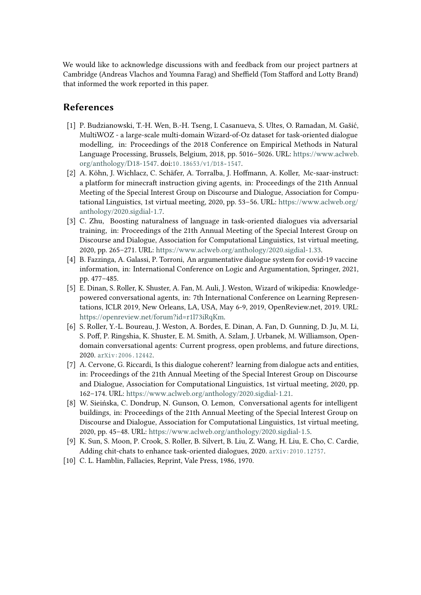We would like to acknowledge discussions with and feedback from our project partners at Cambridge (Andreas Vlachos and Youmna Farag) and Sheffield (Tom Stafford and Lotty Brand) that informed the work reported in this paper.

## **References**

- [1] P. Budzianowski, T.-H. Wen, B.-H. Tseng, I. Casanueva, S. Ultes, O. Ramadan, M. Gašić, MultiWOZ - a large-scale multi-domain Wizard-of-Oz dataset for task-oriented dialogue modelling, in: Proceedings of the 2018 Conference on Empirical Methods in Natural Language Processing, Brussels, Belgium, 2018, pp. 5016–5026. URL: [https://www.aclweb.](https://www.aclweb.org/anthology/D18-1547) [org/anthology/D18-1547.](https://www.aclweb.org/anthology/D18-1547) doi:10.18653/v1/D18-1547.
- [2] A. Köhn, J. Wichlacz, C. Schäfer, A. Torralba, J. Hoffmann, A. Koller, Mc-saar-instruct: a platform for minecraft instruction giving agents, in: Proceedings of the 21th Annual Meeting of the Special Interest Group on Discourse and Dialogue, Association for Computational Linguistics, 1st virtual meeting, 2020, pp. 53–56. URL: [https://www.aclweb.org/](https://www.aclweb.org/anthology/2020.sigdial-1.7) [anthology/2020.sigdial-1.7.](https://www.aclweb.org/anthology/2020.sigdial-1.7)
- [3] C. Zhu, Boosting naturalness of language in task-oriented dialogues via adversarial training, in: Proceedings of the 21th Annual Meeting of the Special Interest Group on Discourse and Dialogue, Association for Computational Linguistics, 1st virtual meeting, 2020, pp. 265–271. URL: [https://www.aclweb.org/anthology/2020.sigdial-1.33.](https://www.aclweb.org/anthology/2020.sigdial-1.33)
- [4] B. Fazzinga, A. Galassi, P. Torroni, An argumentative dialogue system for covid-19 vaccine information, in: International Conference on Logic and Argumentation, Springer, 2021, pp. 477–485.
- [5] E. Dinan, S. Roller, K. Shuster, A. Fan, M. Auli, J. Weston, Wizard of wikipedia: Knowledgepowered conversational agents, in: 7th International Conference on Learning Representations, ICLR 2019, New Orleans, LA, USA, May 6-9, 2019, OpenReview.net, 2019. URL: [https://openreview.net/forum?id=r1l73iRqKm.](https://openreview.net/forum?id=r1l73iRqKm)
- [6] S. Roller, Y.-L. Boureau, J. Weston, A. Bordes, E. Dinan, A. Fan, D. Gunning, D. Ju, M. Li, S. Poff, P. Ringshia, K. Shuster, E. M. Smith, A. Szlam, J. Urbanek, M. Williamson, Opendomain conversational agents: Current progress, open problems, and future directions, 2020. arxiv: 2006. 12442.
- [7] A. Cervone, G. Riccardi, Is this dialogue coherent? learning from dialogue acts and entities, in: Proceedings of the 21th Annual Meeting of the Special Interest Group on Discourse and Dialogue, Association for Computational Linguistics, 1st virtual meeting, 2020, pp. 162–174. URL: [https://www.aclweb.org/anthology/2020.sigdial-1.21.](https://www.aclweb.org/anthology/2020.sigdial-1.21)
- [8] W. Sieińska, C. Dondrup, N. Gunson, O. Lemon, Conversational agents for intelligent buildings, in: Proceedings of the 21th Annual Meeting of the Special Interest Group on Discourse and Dialogue, Association for Computational Linguistics, 1st virtual meeting, 2020, pp. 45–48. URL: [https://www.aclweb.org/anthology/2020.sigdial-1.5.](https://www.aclweb.org/anthology/2020.sigdial-1.5)
- [9] K. Sun, S. Moon, P. Crook, S. Roller, B. Silvert, B. Liu, Z. Wang, H. Liu, E. Cho, C. Cardie, Adding chit-chats to enhance task-oriented dialogues, 2020. arXiv:2010.12757.
- [10] C. L. Hamblin, Fallacies, Reprint, Vale Press, 1986, 1970.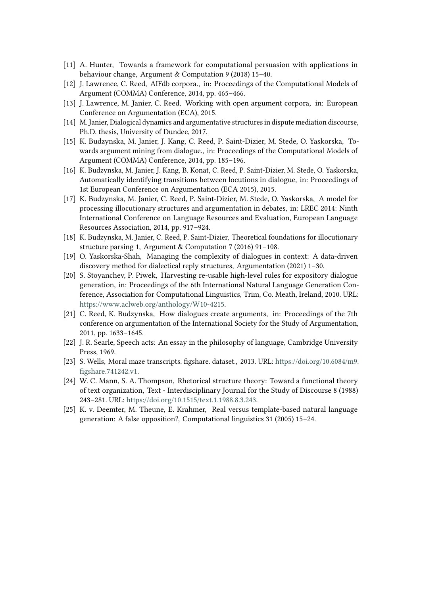- [11] A. Hunter, Towards a framework for computational persuasion with applications in behaviour change, Argument & Computation 9 (2018) 15–40.
- <span id="page-11-0"></span>[12] J. Lawrence, C. Reed, AIFdb corpora., in: Proceedings of the Computational Models of Argument (COMMA) Conference, 2014, pp. 465–466.
- <span id="page-11-1"></span>[13] J. Lawrence, M. Janier, C. Reed, Working with open argument corpora, in: European Conference on Argumentation (ECA), 2015.
- <span id="page-11-2"></span>[14] M. Janier, Dialogical dynamics and argumentative structures in dispute mediation discourse, Ph.D. thesis, University of Dundee, 2017.
- <span id="page-11-3"></span>[15] K. Budzynska, M. Janier, J. Kang, C. Reed, P. Saint-Dizier, M. Stede, O. Yaskorska, Towards argument mining from dialogue., in: Proceedings of the Computational Models of Argument (COMMA) Conference, 2014, pp. 185–196.
- <span id="page-11-4"></span>[16] K. Budzynska, M. Janier, J. Kang, B. Konat, C. Reed, P. Saint-Dizier, M. Stede, O. Yaskorska, Automatically identifying transitions between locutions in dialogue, in: Proceedings of 1st European Conference on Argumentation (ECA 2015), 2015.
- <span id="page-11-5"></span>[17] K. Budzynska, M. Janier, C. Reed, P. Saint-Dizier, M. Stede, O. Yaskorska, A model for processing illocutionary structures and argumentation in debates, in: LREC 2014: Ninth International Conference on Language Resources and Evaluation, European Language Resources Association, 2014, pp. 917–924.
- <span id="page-11-6"></span>[18] K. Budzynska, M. Janier, C. Reed, P. Saint-Dizier, Theoretical foundations for illocutionary structure parsing 1, Argument & Computation 7 (2016) 91–108.
- <span id="page-11-7"></span>[19] O. Yaskorska-Shah, Managing the complexity of dialogues in context: A data-driven discovery method for dialectical reply structures, Argumentation (2021) 1–30.
- <span id="page-11-8"></span>[20] S. Stoyanchev, P. Piwek, Harvesting re-usable high-level rules for expository dialogue generation, in: Proceedings of the 6th International Natural Language Generation Conference, Association for Computational Linguistics, Trim, Co. Meath, Ireland, 2010. URL: [https://www.aclweb.org/anthology/W10-4215.](https://www.aclweb.org/anthology/W10-4215)
- <span id="page-11-9"></span>[21] C. Reed, K. Budzynska, How dialogues create arguments, in: Proceedings of the 7th conference on argumentation of the International Society for the Study of Argumentation, 2011, pp. 1633–1645.
- <span id="page-11-10"></span>[22] J. R. Searle, Speech acts: An essay in the philosophy of language, Cambridge University Press, 1969.
- <span id="page-11-11"></span>[23] S. Wells, Moral maze transcripts. figshare. dataset., 2013. URL: [https://doi.org/10.6084/m9.](https://doi.org/10.6084/m9.figshare.741242.v1) [figshare.741242.v1.](https://doi.org/10.6084/m9.figshare.741242.v1)
- <span id="page-11-12"></span>[24] W. C. Mann, S. A. Thompson, Rhetorical structure theory: Toward a functional theory of text organization, Text - Interdisciplinary Journal for the Study of Discourse 8 (1988) 243–281. URL: [https://doi.org/10.1515/text.1.1988.8.3.243.](https://doi.org/10.1515/text.1.1988.8.3.243)
- <span id="page-11-13"></span>[25] K. v. Deemter, M. Theune, E. Krahmer, Real versus template-based natural language generation: A false opposition?, Computational linguistics 31 (2005) 15–24.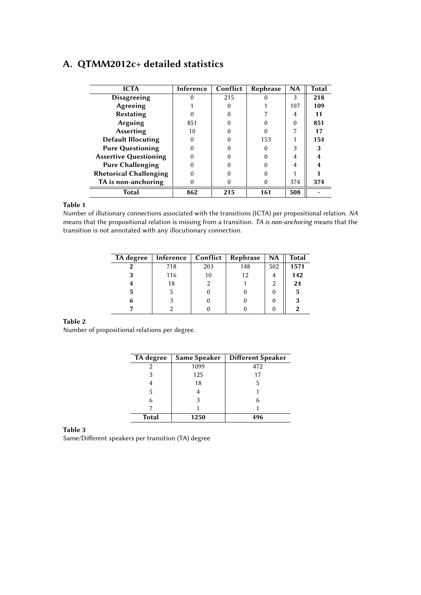# <span id="page-12-1"></span><span id="page-12-0"></span>**A. QTMM2012c+ detailed statistics**

| <b>ICTA</b>                   | Inference | Conflict | Rephrase | <b>NA</b> | Total |
|-------------------------------|-----------|----------|----------|-----------|-------|
| <b>Disagreeing</b>            |           | 215      |          | 3         | 218   |
| Agreeing                      |           |          |          | 107       | 109   |
| <b>Restating</b>              |           |          |          | 4         |       |
| Arguing                       | 851       |          |          | 0         | 851   |
| <b>Asserting</b>              | 10        |          |          |           |       |
| <b>Default Illocuting</b>     |           |          | 153      |           | 154   |
| <b>Pure Questioning</b>       |           |          |          |           |       |
| <b>Assertive Questioning</b>  |           |          |          |           |       |
| <b>Pure Challenging</b>       |           |          |          |           |       |
| <b>Rhetorical Challenging</b> |           |          |          |           |       |
| TA is non-anchoring           |           |          |          | 374       | 374   |
| Total                         | 862       | 215      | 161      | 508       |       |

#### **Table 1**

<span id="page-12-2"></span>Number of illutionary connections associated with the transitions (ICTA) per propositional relation. *NA* means that the propositional relation is missing from a transition. *TA is non-anchoring* means that the transition is not annotated with any illocutionary connection.

| TA degree | Inference | Conflict | Rephrase | <b>NA</b> | <b>Total</b> |
|-----------|-----------|----------|----------|-----------|--------------|
|           | 718       | 203      | 148      | 502       | 1571         |
|           | 116       | 10       | 12       |           | 142          |
|           | 18        |          |          |           | 24           |
| 5         | 5         |          |          |           | 5            |
| 6         |           |          |          |           | 3            |
|           |           |          |          |           |              |

#### **Table 2**

<span id="page-12-3"></span>Number of propositional relations per degree.

| TA degree    | Same Speaker | <b>Different Speaker</b> |
|--------------|--------------|--------------------------|
|              | 1099         | 472                      |
| 3            | 125          | 17                       |
|              | 18           |                          |
| 5            |              |                          |
|              |              |                          |
|              |              |                          |
| <b>Total</b> | 1250         | 496                      |

**Table 3**

Same/Different speakers per transition (TA) degree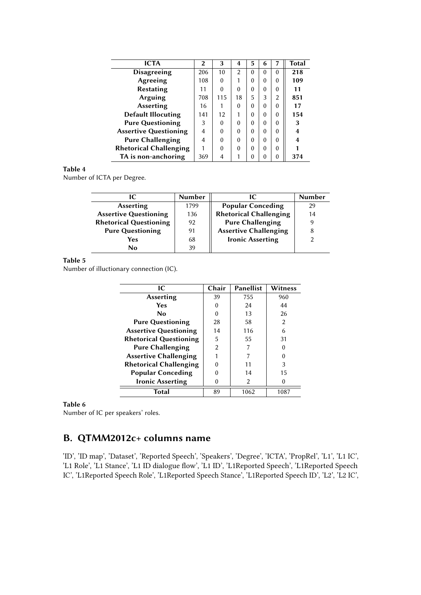<span id="page-13-1"></span>

| <b>ICTA</b>                   | $\mathbf{2}$ | 3        | 4  | 5        | 6        | 7              | <b>Total</b> |
|-------------------------------|--------------|----------|----|----------|----------|----------------|--------------|
| <b>Disagreeing</b>            | 206          | 10       | 2  | $\Omega$ | $\Omega$ | $\Omega$       | 218          |
| Agreeing                      | 108          | $\Omega$ | 1  | 0        | $\Omega$ | $\Omega$       | 109          |
| <b>Restating</b>              | 11           | $\Omega$ | 0  | 0        | $\Omega$ | $\Omega$       | 11           |
| Arguing                       | 708          | 115      | 18 | 5        | 3        | $\mathfrak{D}$ | 851          |
| <b>Asserting</b>              | 16           |          | 0  | 0        | $\Omega$ | $\Omega$       | 17           |
| <b>Default Illocuting</b>     | 141          | 12       | 1  | 0        | $\Omega$ | $\Omega$       | 154          |
| <b>Pure Questioning</b>       | 3            | 0        | 0  | $\Omega$ | $\Omega$ | $\Omega$       | 3            |
| <b>Assertive Questioning</b>  | 4            | $\Omega$ | 0  | $\Omega$ | $\Omega$ | $\Omega$       | 4            |
| <b>Pure Challenging</b>       | 4            | $\Omega$ | 0  | 0        | $\Omega$ | $\Omega$       | 4            |
| <b>Rhetorical Challenging</b> |              | $\Omega$ | 0  | 0        | $\Omega$ | $\Omega$       |              |
| TA is non-anchoring           | 369          | 4        | 1  | 0        | 0        | $\Omega$       | 374          |

### **Table 4**

<span id="page-13-2"></span>Number of ICTA per Degree.

| ıс                            | <b>Number</b> | IС                            | <b>Number</b> |
|-------------------------------|---------------|-------------------------------|---------------|
| <b>Asserting</b>              | 1799          | <b>Popular Conceding</b>      | 29            |
| <b>Assertive Questioning</b>  | 136           | <b>Rhetorical Challenging</b> | 14            |
| <b>Rhetorical Questioning</b> | 92            | <b>Pure Challenging</b>       |               |
| <b>Pure Questioning</b>       | 91            | <b>Assertive Challenging</b>  |               |
| Yes                           | 68            | <b>Ironic Asserting</b>       |               |
| N٥                            | 39            |                               |               |

#### **Table 5**

<span id="page-13-3"></span>Number of illuctionary connection (IC).

| IC                            | Chair          | <b>Panellist</b> | Witness |
|-------------------------------|----------------|------------------|---------|
| <b>Asserting</b>              | 39             | 755              | 960     |
| Yes                           | 0              | 24               | 44      |
| No                            | $\Omega$       | 13               | 26      |
| <b>Pure Questioning</b>       | 28             | 58               | 2       |
| <b>Assertive Questioning</b>  | 14             | 116              | 6       |
| <b>Rhetorical Questioning</b> | 5              | 55               | 31      |
| <b>Pure Challenging</b>       | $\mathfrak{p}$ |                  |         |
| <b>Assertive Challenging</b>  |                |                  |         |
| <b>Rhetorical Challenging</b> |                | 11               | 3       |
| <b>Popular Conceding</b>      |                | 14               | 15      |
| <b>Ironic Asserting</b>       |                | 2                | 0       |
| <b>Total</b>                  | 89             | 1062             | 1087    |

#### **Table 6**

Number of IC per speakers' roles.

# <span id="page-13-0"></span>**B. QTMM2012c+ columns name**

'ID', 'ID map', 'Dataset', 'Reported Speech', 'Speakers', 'Degree', 'ICTA', 'PropRel', 'L1', 'L1 IC', 'L1 Role', 'L1 Stance', 'L1 ID dialogue flow', 'L1 ID', 'L1Reported Speech', 'L1Reported Speech IC', 'L1Reported Speech Role', 'L1Reported Speech Stance', 'L1Reported Speech ID', 'L2', 'L2 IC',